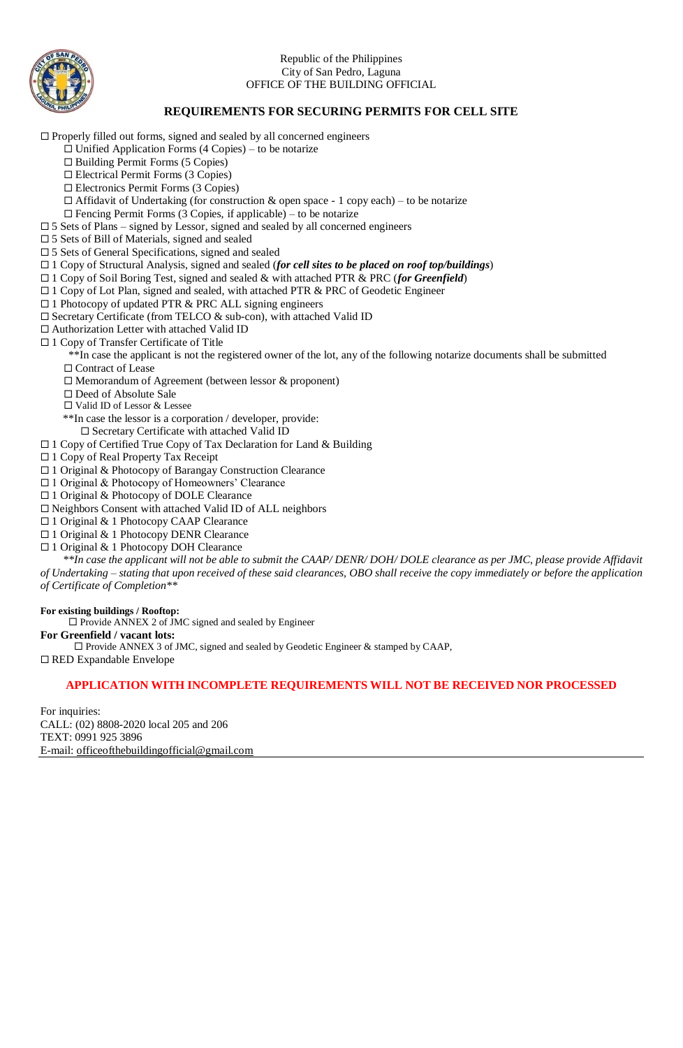

#### Republic of the Philippines City of San Pedro, Laguna OFFICE OF THE BUILDING OFFICIAL

## **REQUIREMENTS FOR SECURING PERMITS FOR CELL SITE**

 $\Box$  Properly filled out forms, signed and sealed by all concerned engineers

- $\Box$  Unified Application Forms (4 Copies) to be notarize
	- $\Box$  Building Permit Forms (5 Copies)
	- Electrical Permit Forms (3 Copies)
	- Electronics Permit Forms (3 Copies)
- $\Box$  Affidavit of Undertaking (for construction & open space 1 copy each) to be notarize
- $\Box$  Fencing Permit Forms (3 Copies, if applicable) to be notarize
- $\square$  5 Sets of Plans signed by Lessor, signed and sealed by all concerned engineers
- □ 5 Sets of Bill of Materials, signed and sealed
- 5 Sets of General Specifications, signed and sealed
- 1 Copy of Structural Analysis, signed and sealed (*for cell sites to be placed on roof top/buildings*)
- 1 Copy of Soil Boring Test, signed and sealed & with attached PTR & PRC (*for Greenfield*)
- □ 1 Copy of Lot Plan, signed and sealed, with attached PTR & PRC of Geodetic Engineer
- $\Box$  1 Photocopy of updated PTR & PRC ALL signing engineers
- $\square$  Secretary Certificate (from TELCO & sub-con), with attached Valid ID
- Authorization Letter with attached Valid ID
- □ 1 Copy of Transfer Certificate of Title
	- \*\*In case the applicant is not the registered owner of the lot, any of the following notarize documents shall be submitted □ Contract of Lease
	-
	- $\Box$  Memorandum of Agreement (between lessor & proponent)
	- Deed of Absolute Sale
	- □ Valid ID of Lessor & Lessee
	- \*\*In case the lessor is a corporation / developer, provide:
	- Secretary Certificate with attached Valid ID
- $\Box$  1 Copy of Certified True Copy of Tax Declaration for Land & Building
- □ 1 Copy of Real Property Tax Receipt
- 1 Original & Photocopy of Barangay Construction Clearance
- □ 1 Original & Photocopy of Homeowners' Clearance
- □ 1 Original & Photocopy of DOLE Clearance
- $\square$  Neighbors Consent with attached Valid ID of ALL neighbors
- □ 1 Original & 1 Photocopy CAAP Clearance
- 1 Original & 1 Photocopy DENR Clearance
- □ 1 Original & 1 Photocopy DOH Clearance

 *\*\*In case the applicant will not be able to submit the CAAP/ DENR/ DOH/ DOLE clearance as per JMC, please provide Affidavit of Undertaking – stating that upon received of these said clearances, OBO shall receive the copy immediately or before the application of Certificate of Completion\*\**

#### **For existing buildings / Rooftop:**

 $\square$  Provide ANNEX 2 of JMC signed and sealed by Engineer

#### **For Greenfield / vacant lots:**

 $\square$  Provide ANNEX 3 of JMC, signed and sealed by Geodetic Engineer & stamped by CAAP,

 $\Box$  RED Expandable Envelope

#### **APPLICATION WITH INCOMPLETE REQUIREMENTS WILL NOT BE RECEIVED NOR PROCESSED**

For inquiries: CALL: (02) 8808-2020 local 205 and 206 TEXT: 0991 925 3896 E-mail: [officeofthebuildingofficial@gmail.com](mailto:officeofthebuildingofficial@gmail.com)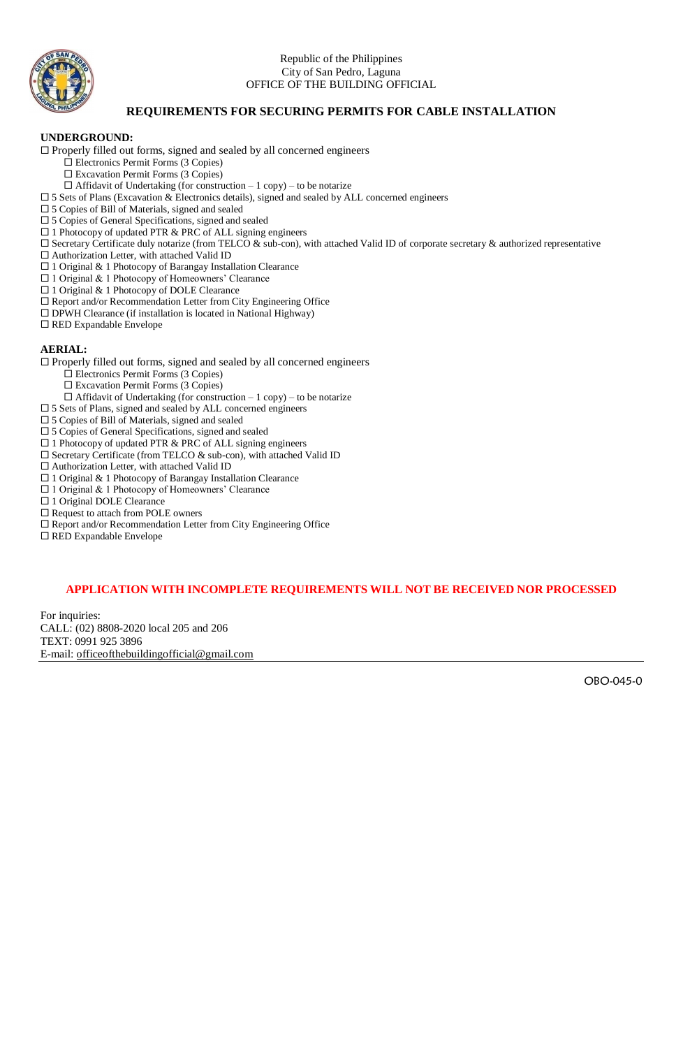

#### Republic of the Philippines City of San Pedro, Laguna OFFICE OF THE BUILDING OFFICIAL

### **REQUIREMENTS FOR SECURING PERMITS FOR CABLE INSTALLATION**

#### **UNDERGROUND:**

 $\Box$  Properly filled out forms, signed and sealed by all concerned engineers

- Electronics Permit Forms (3 Copies)
	- Excavation Permit Forms (3 Copies)
- $\Box$  Affidavit of Undertaking (for construction 1 copy) to be notarize
- 5 Sets of Plans (Excavation & Electronics details), signed and sealed by ALL concerned engineers
- □ 5 Copies of Bill of Materials, signed and sealed
- □ 5 Copies of General Specifications, signed and sealed
- □ 1 Photocopy of updated PTR & PRC of ALL signing engineers
- $\square$  Secretary Certificate duly notarize (from TELCO & sub-con), with attached Valid ID of corporate secretary & authorized representative
- $\square$  Authorization Letter, with attached Valid ID
- $\Box$ <br> 1 Original & 1 Photocopy of Barangay Installation Clearance
- 1 Original & 1 Photocopy of Homeowners' Clearance
- □ 1 Original & 1 Photocopy of DOLE Clearance
- $\square$  Report and/or Recommendation Letter from City Engineering Office
- $\square$  DPWH Clearance (if installation is located in National Highway)
- □ RED Expandable Envelope

#### **AERIAL:**

 $\Box$  Properly filled out forms, signed and sealed by all concerned engineers

- Electronics Permit Forms (3 Copies)
- $\square$  Excavation Permit Forms (3 Copies)
- $\Box$  Affidavit of Undertaking (for construction 1 copy) to be notarize
- $\square$  5 Sets of Plans, signed and sealed by ALL concerned engineers
- 5 Copies of Bill of Materials, signed and sealed
- $\square$ 5 Copies of General Specifications, signed and sealed
- $\Box$  1 Photocopy of updated PTR & PRC of ALL signing engineers
- $\square$  Secretary Certificate (from TELCO & sub-con), with attached Valid ID
- $\square$  Authorization Letter, with attached Valid ID
- 1 Original & 1 Photocopy of Barangay Installation Clearance
- $\Box$  1 Original & 1 Photocopy of Homeowners' Clearance
- □ 1 Original DOLE Clearance
- □ Request to attach from POLE owners
- Report and/or Recommendation Letter from City Engineering Office

□ RED Expandable Envelope

### **APPLICATION WITH INCOMPLETE REQUIREMENTS WILL NOT BE RECEIVED NOR PROCESSED**

For inquiries: CALL: (02) 8808-2020 local 205 and 206 TEXT: 0991 925 3896 E-mail: [officeofthebuildingofficial@gmail.com](mailto:officeofthebuildingofficial@gmail.com)

OBO-045-0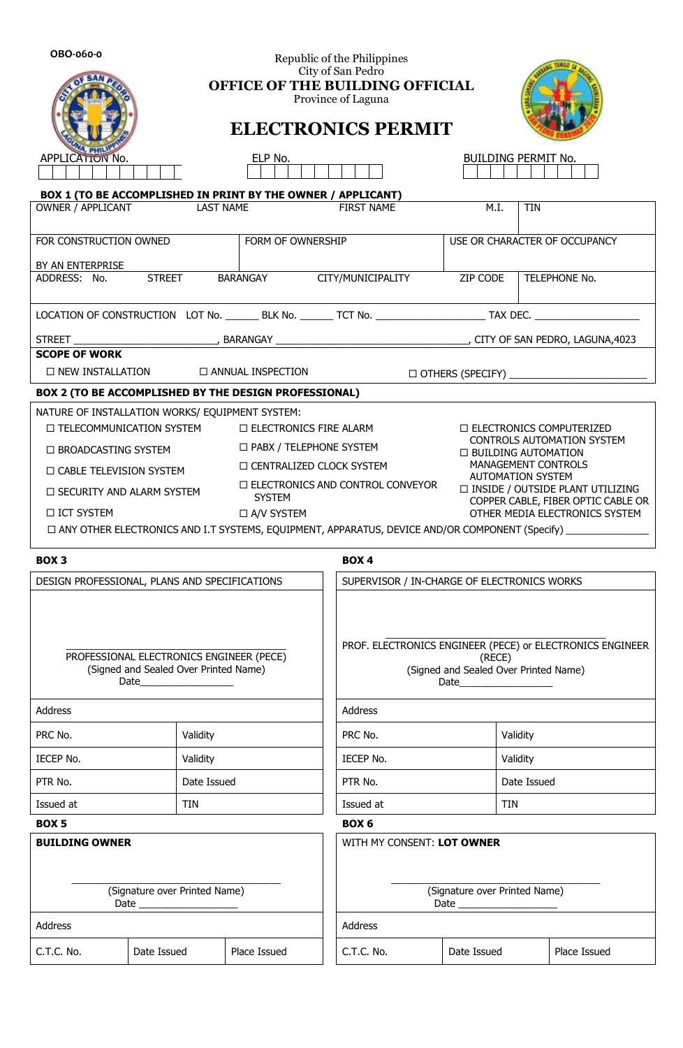| OBO-060-0                                                                                                |                   |                                                                     | Republic of the Philippines<br>City of San Pedro |           |                                                                                                           |           |             |                               |                                                                      |  |  |  |
|----------------------------------------------------------------------------------------------------------|-------------------|---------------------------------------------------------------------|--------------------------------------------------|-----------|-----------------------------------------------------------------------------------------------------------|-----------|-------------|-------------------------------|----------------------------------------------------------------------|--|--|--|
|                                                                                                          |                   | OFFICE OF THE BUILDING OFFICIAL                                     | Province of Laguna                               |           |                                                                                                           |           |             |                               |                                                                      |  |  |  |
|                                                                                                          |                   |                                                                     |                                                  |           | <b>ELECTRONICS PERMIT</b>                                                                                 |           |             |                               |                                                                      |  |  |  |
| <b>APPLICATION No.</b>                                                                                   |                   |                                                                     | ELP No.                                          |           | <b>BUILDING PERMIT No.</b>                                                                                |           |             |                               |                                                                      |  |  |  |
|                                                                                                          |                   |                                                                     |                                                  |           |                                                                                                           |           |             |                               |                                                                      |  |  |  |
| BOX 1 (TO BE ACCOMPLISHED IN PRINT BY THE OWNER / APPLICANT)<br>OWNER / APPLICANT                        |                   | <b>LAST NAME</b>                                                    |                                                  |           | <b>FIRST NAME</b>                                                                                         |           | M.I.        | <b>TIN</b>                    |                                                                      |  |  |  |
|                                                                                                          |                   |                                                                     |                                                  |           |                                                                                                           |           |             |                               |                                                                      |  |  |  |
| FOR CONSTRUCTION OWNED                                                                                   | FORM OF OWNERSHIP |                                                                     |                                                  |           |                                                                                                           |           |             | USE OR CHARACTER OF OCCUPANCY |                                                                      |  |  |  |
| BY AN ENTERPRISE<br>ADDRESS: No.                                                                         |                   |                                                                     | STREET BARANGAY CITY/MUNICIPALITY ZIP CODE       |           |                                                                                                           |           |             |                               | TELEPHONE No.                                                        |  |  |  |
|                                                                                                          |                   |                                                                     |                                                  |           |                                                                                                           |           |             |                               |                                                                      |  |  |  |
|                                                                                                          |                   |                                                                     |                                                  |           |                                                                                                           |           |             |                               |                                                                      |  |  |  |
| <b>SCOPE OF WORK</b>                                                                                     |                   |                                                                     |                                                  |           |                                                                                                           |           |             |                               |                                                                      |  |  |  |
| $\square$ NEW INSTALLATION                                                                               |                   |                                                                     | <b>C ANNUAL INSPECTION</b>                       |           |                                                                                                           |           |             |                               |                                                                      |  |  |  |
| BOX 2 (TO BE ACCOMPLISHED BY THE DESIGN PROFESSIONAL)                                                    |                   |                                                                     |                                                  |           |                                                                                                           |           |             |                               |                                                                      |  |  |  |
| NATURE OF INSTALLATION WORKS/ EQUIPMENT SYSTEM:<br>□ TELECOMMUNICATION SYSTEM                            |                   |                                                                     | $\Box$ ELECTRONICS FIRE ALARM                    |           |                                                                                                           |           |             |                               | □ ELECTRONICS COMPUTERIZED                                           |  |  |  |
| □ PABX / TELEPHONE SYSTEM<br>$\Box$ BROADCASTING SYSTEM                                                  |                   |                                                                     |                                                  |           |                                                                                                           |           |             | □ BUILDING AUTOMATION         | <b>CONTROLS AUTOMATION SYSTEM</b>                                    |  |  |  |
| $\Box$ CABLE TELEVISION SYSTEM                                                                           |                   | <b>IO CENTRALIZED CLOCK SYSTEM</b>                                  | MANAGEMENT CONTROLS                              |           |                                                                                                           |           |             |                               |                                                                      |  |  |  |
| $\Box$ SECURITY AND ALARM SYSTEM                                                                         |                   |                                                                     |                                                  |           | <b>AUTOMATION SYSTEM</b><br>$\Box$ ELECTRONICS AND CONTROL CONVEYOR<br>□ INSIDE / OUTSIDE PLANT UTILIZING |           |             |                               |                                                                      |  |  |  |
| □ ICT SYSTEM                                                                                             |                   |                                                                     | <b>SYSTEM</b><br>□ A/V SYSTEM                    |           |                                                                                                           |           |             |                               | COPPER CABLE, FIBER OPTIC CABLE OR<br>OTHER MEDIA ELECTRONICS SYSTEM |  |  |  |
| □ ANY OTHER ELECTRONICS AND I.T SYSTEMS, EQUIPMENT, APPARATUS, DEVICE AND/OR COMPONENT (Specify) _______ |                   |                                                                     |                                                  |           |                                                                                                           |           |             |                               |                                                                      |  |  |  |
| BOX <sub>3</sub>                                                                                         |                   |                                                                     |                                                  |           | BOX <sub>4</sub>                                                                                          |           |             |                               |                                                                      |  |  |  |
| DESIGN PROFESSIONAL, PLANS AND SPECIFICATIONS                                                            |                   | SUPERVISOR / IN-CHARGE OF ELECTRONICS WORKS                         |                                                  |           |                                                                                                           |           |             |                               |                                                                      |  |  |  |
|                                                                                                          |                   |                                                                     |                                                  |           |                                                                                                           |           |             |                               |                                                                      |  |  |  |
| PROFESSIONAL ELECTRONICS ENGINEER (PECE)                                                                 |                   | PROF. ELECTRONICS ENGINEER (PECE) or ELECTRONICS ENGINEER<br>(RECE) |                                                  |           |                                                                                                           |           |             |                               |                                                                      |  |  |  |
| (Signed and Sealed Over Printed Name)                                                                    |                   |                                                                     |                                                  |           | (Signed and Sealed Over Printed Name)                                                                     |           |             |                               |                                                                      |  |  |  |
| <b>Address</b>                                                                                           |                   |                                                                     |                                                  |           | <b>Address</b>                                                                                            |           |             |                               |                                                                      |  |  |  |
| PRC No.                                                                                                  | Validity          |                                                                     |                                                  |           |                                                                                                           | PRC No.   |             | Validity                      |                                                                      |  |  |  |
| IECEP No.                                                                                                | Validity          |                                                                     |                                                  |           |                                                                                                           | IECEP No. |             | Validity                      |                                                                      |  |  |  |
| PTR No.<br>Date Issued                                                                                   |                   |                                                                     |                                                  | PTR No.   |                                                                                                           |           | Date Issued |                               |                                                                      |  |  |  |
| Issued at<br><b>TIN</b>                                                                                  |                   |                                                                     |                                                  | Issued at |                                                                                                           |           | TIN         |                               |                                                                      |  |  |  |
| BOX <sub>5</sub>                                                                                         |                   |                                                                     |                                                  |           | BOX <sub>6</sub>                                                                                          |           |             |                               |                                                                      |  |  |  |
| <b>BUILDING OWNER</b>                                                                                    |                   |                                                                     |                                                  |           | WITH MY CONSENT: LOT OWNER                                                                                |           |             |                               |                                                                      |  |  |  |
| (Signature over Printed Name)                                                                            |                   |                                                                     |                                                  |           | (Signature over Printed Name)                                                                             |           |             |                               |                                                                      |  |  |  |
| Address                                                                                                  |                   | <b>Address</b>                                                      |                                                  |           |                                                                                                           |           |             |                               |                                                                      |  |  |  |
| C.T.C. No.                                                                                               | Date Issued       |                                                                     | Place Issued                                     |           | C.T.C. No.                                                                                                |           | Date Issued |                               | Place Issued                                                         |  |  |  |